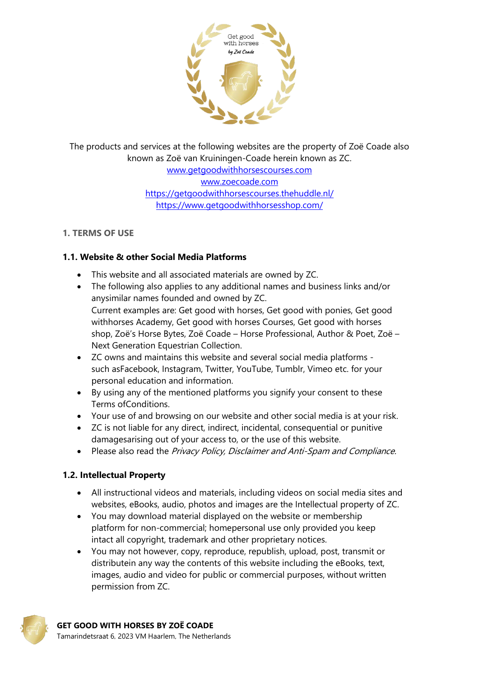

The products and services at the following websites are the property of Zoë Coade also known as Zoë van Kruiningen-Coade herein known as ZC. [www.getgoodwithhorsescourses.com](http://www.getgoodwithhorsescourses.com/) [www.zoecoade.com](http://www.zoecoade.com/) <https://getgoodwithhorsescourses.thehuddle.nl/> <https://www.getgoodwithhorsesshop.com/>

#### **1. TERMS OF USE**

# **1.1. Website & other Social Media Platforms**

- This website and all associated materials are owned by ZC.
- The following also applies to any additional names and business links and/or anysimilar names founded and owned by ZC. Current examples are: Get good with horses, Get good with ponies, Get good withhorses Academy, Get good with horses Courses, Get good with horses shop, Zoë's Horse Bytes, Zoë Coade – Horse Professional, Author & Poet, Zoë – Next Generation Equestrian Collection.
- ZC owns and maintains this website and several social media platforms such asFacebook, Instagram, Twitter, YouTube, Tumblr, Vimeo etc. for your personal education and information.
- By using any of the mentioned platforms you signify your consent to these Terms ofConditions.
- Your use of and browsing on our website and other social media is at your risk.
- ZC is not liable for any direct, indirect, incidental, consequential or punitive damagesarising out of your access to, or the use of this website.
- Please also read the Privacy Policy, Disclaimer and Anti-Spam and Compliance.

# **1.2. Intellectual Property**

- All instructional videos and materials, including videos on social media sites and websites, eBooks, audio, photos and images are the Intellectual property of ZC.
- You may download material displayed on the website or membership platform for non-commercial; homepersonal use only provided you keep intact all copyright, trademark and other proprietary notices.
- You may not however, copy, reproduce, republish, upload, post, transmit or distributein any way the contents of this website including the eBooks, text, images, audio and video for public or commercial purposes, without written permission from ZC.

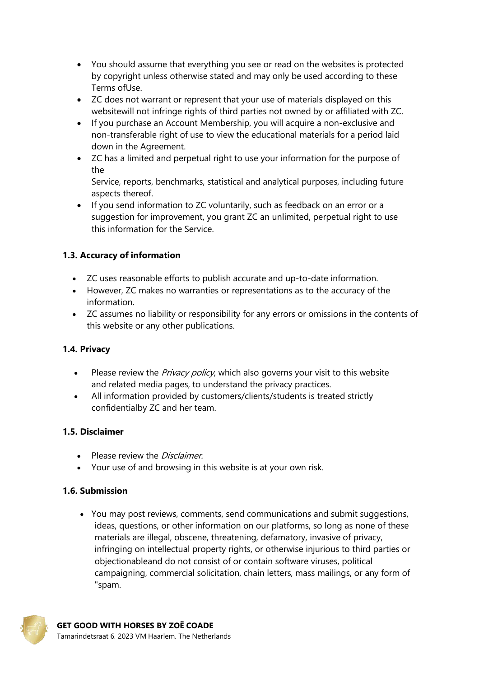- You should assume that everything you see or read on the websites is protected by copyright unless otherwise stated and may only be used according to these Terms ofUse.
- ZC does not warrant or represent that your use of materials displayed on this websitewill not infringe rights of third parties not owned by or affiliated with ZC.
- If you purchase an Account Membership, you will acquire a non-exclusive and non-transferable right of use to view the educational materials for a period laid down in the Agreement.
- ZC has a limited and perpetual right to use your information for the purpose of the

Service, reports, benchmarks, statistical and analytical purposes, including future aspects thereof.

• If you send information to ZC voluntarily, such as feedback on an error or a suggestion for improvement, you grant ZC an unlimited, perpetual right to use this information for the Service.

# **1.3. Accuracy of information**

- ZC uses reasonable efforts to publish accurate and up-to-date information.
- However, ZC makes no warranties or representations as to the accuracy of the information.
- ZC assumes no liability or responsibility for any errors or omissions in the contents of this website or any other publications.

# **1.4. Privacy**

- Please review the *Privacy policy*, which also governs your visit to this website and related media pages, to understand the privacy practices.
- All information provided by customers/clients/students is treated strictly confidentialby ZC and her team.

# **1.5. Disclaimer**

- Please review the *Disclaimer*.
- Your use of and browsing in this website is at your own risk.

# **1.6. Submission**

 You may post reviews, comments, send communications and submit suggestions, ideas, questions, or other information on our platforms, so long as none of these materials are illegal, obscene, threatening, defamatory, invasive of privacy, infringing on intellectual property rights, or otherwise injurious to third parties or objectionableand do not consist of or contain software viruses, political campaigning, commercial solicitation, chain letters, mass mailings, or any form of "spam.

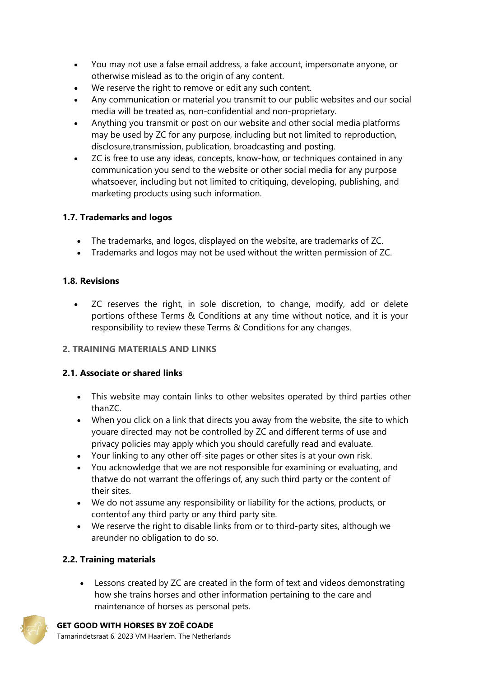- You may not use a false email address, a fake account, impersonate anyone, or otherwise mislead as to the origin of any content.
- We reserve the right to remove or edit any such content.
- Any communication or material you transmit to our public websites and our social media will be treated as, non-confidential and non-proprietary.
- Anything you transmit or post on our website and other social media platforms may be used by ZC for any purpose, including but not limited to reproduction, disclosure,transmission, publication, broadcasting and posting.
- ZC is free to use any ideas, concepts, know-how, or techniques contained in any communication you send to the website or other social media for any purpose whatsoever, including but not limited to critiquing, developing, publishing, and marketing products using such information.

# **1.7. Trademarks and logos**

- The trademarks, and logos, displayed on the website, are trademarks of ZC.
- Trademarks and logos may not be used without the written permission of ZC.

# **1.8. Revisions**

 ZC reserves the right, in sole discretion, to change, modify, add or delete portions ofthese Terms & Conditions at any time without notice, and it is your responsibility to review these Terms & Conditions for any changes.

# **2. TRAINING MATERIALS AND LINKS**

# **2.1. Associate or shared links**

- This website may contain links to other websites operated by third parties other thanZC.
- When you click on a link that directs you away from the website, the site to which youare directed may not be controlled by ZC and different terms of use and privacy policies may apply which you should carefully read and evaluate.
- Your linking to any other off-site pages or other sites is at your own risk.
- You acknowledge that we are not responsible for examining or evaluating, and thatwe do not warrant the offerings of, any such third party or the content of their sites.
- We do not assume any responsibility or liability for the actions, products, or contentof any third party or any third party site.
- We reserve the right to disable links from or to third-party sites, although we areunder no obligation to do so.

# **2.2. Training materials**

 Lessons created by ZC are created in the form of text and videos demonstrating how she trains horses and other information pertaining to the care and maintenance of horses as personal pets.

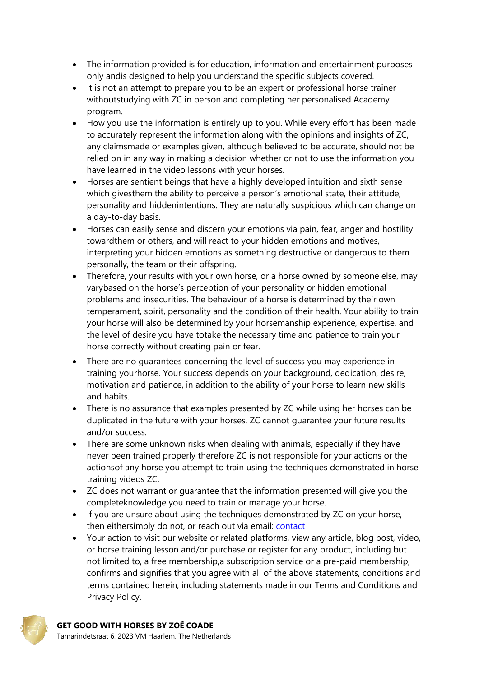- The information provided is for education, information and entertainment purposes only andis designed to help you understand the specific subjects covered.
- It is not an attempt to prepare you to be an expert or professional horse trainer withoutstudying with ZC in person and completing her personalised Academy program.
- How you use the information is entirely up to you. While every effort has been made to accurately represent the information along with the opinions and insights of ZC, any claimsmade or examples given, although believed to be accurate, should not be relied on in any way in making a decision whether or not to use the information you have learned in the video lessons with your horses.
- Horses are sentient beings that have a highly developed intuition and sixth sense which givesthem the ability to perceive a person's emotional state, their attitude, personality and hiddenintentions. They are naturally suspicious which can change on a day-to-day basis.
- Horses can easily sense and discern your emotions via pain, fear, anger and hostility towardthem or others, and will react to your hidden emotions and motives, interpreting your hidden emotions as something destructive or dangerous to them personally, the team or their offspring.
- Therefore, your results with your own horse, or a horse owned by someone else, may varybased on the horse's perception of your personality or hidden emotional problems and insecurities. The behaviour of a horse is determined by their own temperament, spirit, personality and the condition of their health. Your ability to train your horse will also be determined by your horsemanship experience, expertise, and the level of desire you have totake the necessary time and patience to train your horse correctly without creating pain or fear.
- There are no quarantees concerning the level of success you may experience in training yourhorse. Your success depends on your background, dedication, desire, motivation and patience, in addition to the ability of your horse to learn new skills and habits.
- There is no assurance that examples presented by ZC while using her horses can be duplicated in the future with your horses. ZC cannot guarantee your future results and/or success.
- There are some unknown risks when dealing with animals, especially if they have never been trained properly therefore ZC is not responsible for your actions or the actionsof any horse you attempt to train using the techniques demonstrated in horse training videos ZC.
- ZC does not warrant or guarantee that the information presented will give you the completeknowledge you need to train or manage your horse.
- If you are unsure about using the techniques demonstrated by ZC on your horse, then eithersimply do not, or reach out via email: [contact](mailto:info@getgoodwithhorsescourses.com)
- Your action to visit our website or related platforms, view any article, blog post, video, or horse training lesson and/or purchase or register for any product, including but not limited to, a free membership,a subscription service or a pre-paid membership, confirms and signifies that you agree with all of the above statements, conditions and terms contained herein, including statements made in our Terms and Conditions and Privacy Policy.

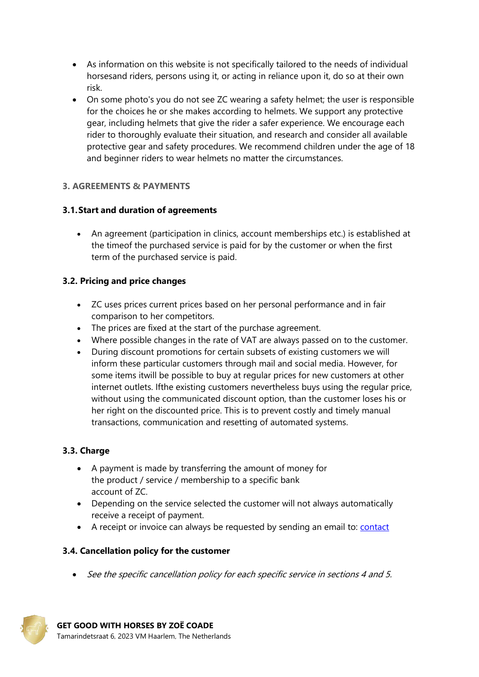- As information on this website is not specifically tailored to the needs of individual horsesand riders, persons using it, or acting in reliance upon it, do so at their own risk.
- On some photo's you do not see ZC wearing a safety helmet; the user is responsible for the choices he or she makes according to helmets. We support any protective gear, including helmets that give the rider a safer experience. We encourage each rider to thoroughly evaluate their situation, and research and consider all available protective gear and safety procedures. We recommend children under the age of 18 and beginner riders to wear helmets no matter the circumstances.

#### **3. AGREEMENTS & PAYMENTS**

#### **3.1.Start and duration of agreements**

 An agreement (participation in clinics, account memberships etc.) is established at the timeof the purchased service is paid for by the customer or when the first term of the purchased service is paid.

#### **3.2. Pricing and price changes**

- ZC uses prices current prices based on her personal performance and in fair comparison to her competitors.
- The prices are fixed at the start of the purchase agreement.
- Where possible changes in the rate of VAT are always passed on to the customer.
- During discount promotions for certain subsets of existing customers we will inform these particular customers through mail and social media. However, for some items itwill be possible to buy at regular prices for new customers at other internet outlets. Ifthe existing customers nevertheless buys using the regular price, without using the communicated discount option, than the customer loses his or her right on the discounted price. This is to prevent costly and timely manual transactions, communication and resetting of automated systems.

# **3.3. Charge**

- A payment is made by transferring the amount of money for the product / service / membership to a specific bank account of ZC.
- Depending on the service selected the customer will not always automatically receive a receipt of payment.
- A receipt or invoice can always be requested by sending an email to: [contact](mailto:info@getgoodwithhorsescourses.com)

#### **3.4. Cancellation policy for the customer**

• See the specific cancellation policy for each specific service in sections 4 and 5.

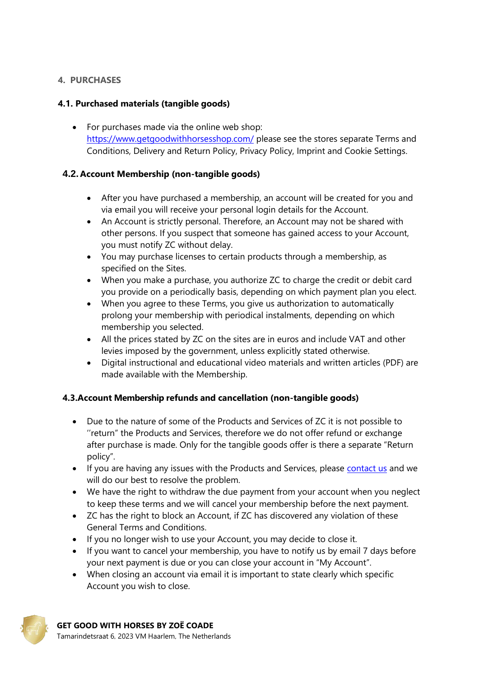### **4. PURCHASES**

# **4.1. Purchased materials (tangible goods)**

• For purchases made via the online web shop: <https://www.getgoodwithhorsesshop.com/> please see the stores separate Terms and Conditions, Delivery and Return Policy, Privacy Policy, Imprint and Cookie Settings.

#### **4.2. Account Membership (non-tangible goods)**

- After you have purchased a membership, an account will be created for you and via email you will receive your personal login details for the Account.
- An Account is strictly personal. Therefore, an Account may not be shared with other persons. If you suspect that someone has gained access to your Account, you must notify ZC without delay.
- You may purchase licenses to certain products through a membership, as specified on the Sites.
- When you make a purchase, you authorize ZC to charge the credit or debit card you provide on a periodically basis, depending on which payment plan you elect.
- When you agree to these Terms, you give us authorization to automatically prolong your membership with periodical instalments, depending on which membership you selected.
- All the prices stated by ZC on the sites are in euros and include VAT and other levies imposed by the government, unless explicitly stated otherwise.
- Digital instructional and educational video materials and written articles (PDF) are made available with the Membership.

# **4.3.Account Membership refunds and cancellation (non-tangible goods)**

- Due to the nature of some of the Products and Services of ZC it is not possible to ''return" the Products and Services, therefore we do not offer refund or exchange after purchase is made. Only for the tangible goods offer is there a separate "Return policy".
- If you are having any issues with the Products and Services, please [contact us](mailto:info@getgoodwithhorsescourses.com) and we will do our best to resolve the problem.
- We have the right to withdraw the due payment from your account when you neglect to keep these terms and we will cancel your membership before the next payment.
- ZC has the right to block an Account, if ZC has discovered any violation of these General Terms and Conditions.
- If you no longer wish to use your Account, you may decide to close it.
- If you want to cancel your membership, you have to notify us by email 7 days before your next payment is due or you can close your account in "My Account".
- When closing an account via email it is important to state clearly which specific Account you wish to close.

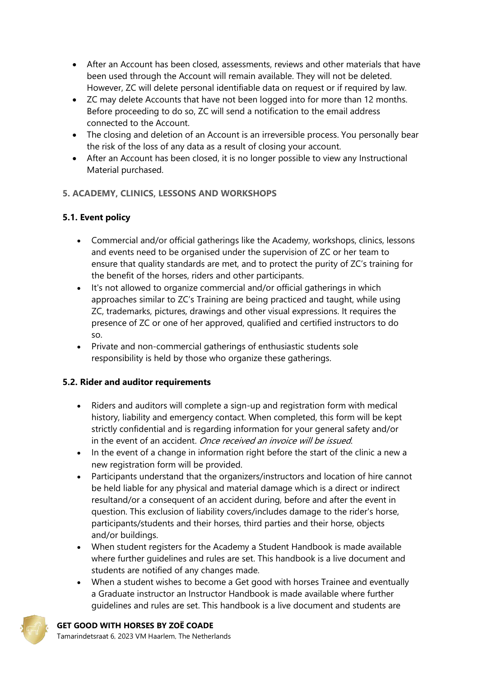- After an Account has been closed, assessments, reviews and other materials that have been used through the Account will remain available. They will not be deleted. However, ZC will delete personal identifiable data on request or if required by law.
- ZC may delete Accounts that have not been logged into for more than 12 months. Before proceeding to do so, ZC will send a notification to the email address connected to the Account.
- The closing and deletion of an Account is an irreversible process. You personally bear the risk of the loss of any data as a result of closing your account.
- After an Account has been closed, it is no longer possible to view any Instructional Material purchased.

# **5. ACADEMY, CLINICS, LESSONS AND WORKSHOPS**

# **5.1. Event policy**

- Commercial and/or official gatherings like the Academy, workshops, clinics, lessons and events need to be organised under the supervision of ZC or her team to ensure that quality standards are met, and to protect the purity of ZC's training for the benefit of the horses, riders and other participants.
- It's not allowed to organize commercial and/or official gatherings in which approaches similar to ZC's Training are being practiced and taught, while using ZC, trademarks, pictures, drawings and other visual expressions. It requires the presence of ZC or one of her approved, qualified and certified instructors to do so.
- Private and non-commercial gatherings of enthusiastic students sole responsibility is held by those who organize these gatherings.

# **5.2. Rider and auditor requirements**

- Riders and auditors will complete a sign-up and registration form with medical history, liability and emergency contact. When completed, this form will be kept strictly confidential and is regarding information for your general safety and/or in the event of an accident. Once received an invoice will be issued.
- In the event of a change in information right before the start of the clinic a new a new registration form will be provided.
- Participants understand that the organizers/instructors and location of hire cannot be held liable for any physical and material damage which is a direct or indirect resultand/or a consequent of an accident during, before and after the event in question. This exclusion of liability covers/includes damage to the rider's horse, participants/students and their horses, third parties and their horse, objects and/or buildings.
- When student registers for the Academy a Student Handbook is made available where further guidelines and rules are set. This handbook is a live document and students are notified of any changes made.
- When a student wishes to become a Get good with horses Trainee and eventually a Graduate instructor an Instructor Handbook is made available where further guidelines and rules are set. This handbook is a live document and students are



# **GET GOOD WITH HORSES BY ZOË COADE**

Tamarindetsraat 6, 2023 VM Haarlem, The Netherlands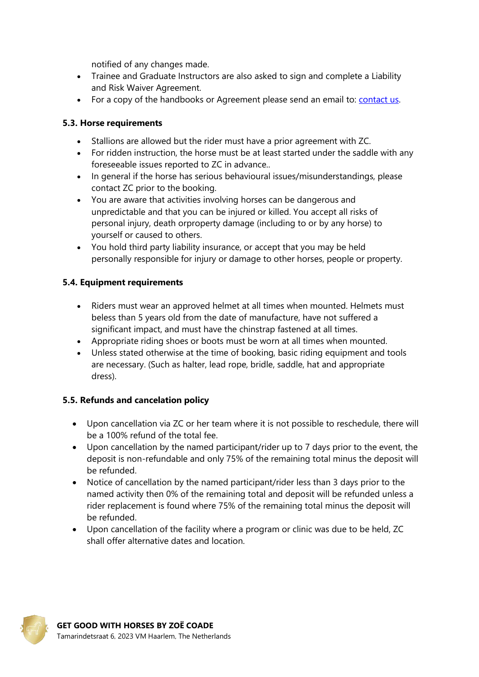notified of any changes made.

- Trainee and Graduate Instructors are also asked to sign and complete a Liability and Risk Waiver Agreement.
- For a copy of the handbooks or Agreement please send an email to: [contact us.](mailto:info@getgoodwithhorsescourses.com)

#### **5.3. Horse requirements**

- Stallions are allowed but the rider must have a prior agreement with ZC.
- For ridden instruction, the horse must be at least started under the saddle with any foreseeable issues reported to ZC in advance..
- In general if the horse has serious behavioural issues/misunderstandings, please contact ZC prior to the booking.
- You are aware that activities involving horses can be dangerous and unpredictable and that you can be injured or killed. You accept all risks of personal injury, death orproperty damage (including to or by any horse) to yourself or caused to others.
- You hold third party liability insurance, or accept that you may be held personally responsible for injury or damage to other horses, people or property.

#### **5.4. Equipment requirements**

- Riders must wear an approved helmet at all times when mounted. Helmets must beless than 5 years old from the date of manufacture, have not suffered a significant impact, and must have the chinstrap fastened at all times.
- Appropriate riding shoes or boots must be worn at all times when mounted.
- Unless stated otherwise at the time of booking, basic riding equipment and tools are necessary. (Such as halter, lead rope, bridle, saddle, hat and appropriate dress).

# **5.5. Refunds and cancelation policy**

- Upon cancellation via ZC or her team where it is not possible to reschedule, there will be a 100% refund of the total fee.
- Upon cancellation by the named participant/rider up to 7 days prior to the event, the deposit is non-refundable and only 75% of the remaining total minus the deposit will be refunded.
- Notice of cancellation by the named participant/rider less than 3 days prior to the named activity then 0% of the remaining total and deposit will be refunded unless a rider replacement is found where 75% of the remaining total minus the deposit will be refunded.
- Upon cancellation of the facility where a program or clinic was due to be held, ZC shall offer alternative dates and location.

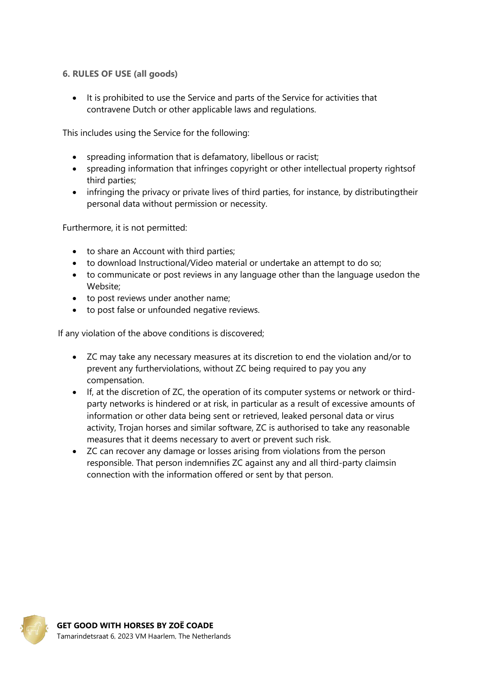#### **6. RULES OF USE (all goods)**

• It is prohibited to use the Service and parts of the Service for activities that contravene Dutch or other applicable laws and regulations.

This includes using the Service for the following:

- spreading information that is defamatory, libellous or racist;
- spreading information that infringes copyright or other intellectual property rightsof third parties;
- infringing the privacy or private lives of third parties, for instance, by distributing their personal data without permission or necessity.

Furthermore, it is not permitted:

- to share an Account with third parties;
- to download Instructional/Video material or undertake an attempt to do so;
- to communicate or post reviews in any language other than the language usedon the Website;
- to post reviews under another name;
- to post false or unfounded negative reviews.

If any violation of the above conditions is discovered;

- ZC may take any necessary measures at its discretion to end the violation and/or to prevent any furtherviolations, without ZC being required to pay you any compensation.
- If, at the discretion of ZC, the operation of its computer systems or network or thirdparty networks is hindered or at risk, in particular as a result of excessive amounts of information or other data being sent or retrieved, leaked personal data or virus activity, Trojan horses and similar software, ZC is authorised to take any reasonable measures that it deems necessary to avert or prevent such risk.
- ZC can recover any damage or losses arising from violations from the person responsible. That person indemnifies ZC against any and all third-party claimsin connection with the information offered or sent by that person.

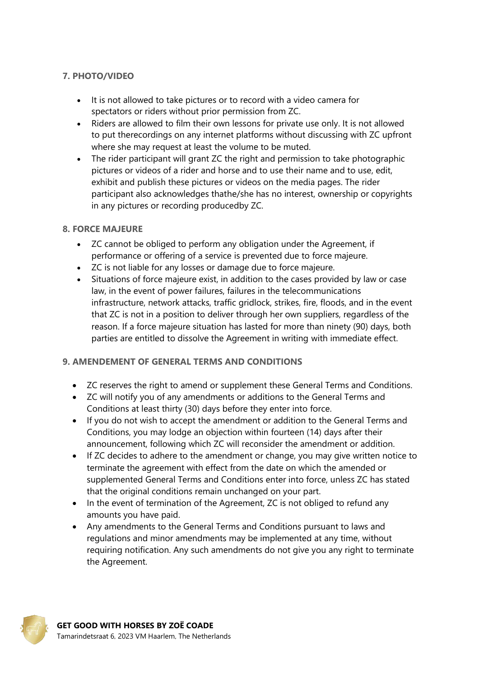# **7. PHOTO/VIDEO**

- It is not allowed to take pictures or to record with a video camera for spectators or riders without prior permission from ZC.
- Riders are allowed to film their own lessons for private use only. It is not allowed to put therecordings on any internet platforms without discussing with ZC upfront where she may request at least the volume to be muted.
- The rider participant will grant ZC the right and permission to take photographic pictures or videos of a rider and horse and to use their name and to use, edit, exhibit and publish these pictures or videos on the media pages. The rider participant also acknowledges thathe/she has no interest, ownership or copyrights in any pictures or recording producedby ZC.

#### **8. FORCE MAJEURE**

- ZC cannot be obliged to perform any obligation under the Agreement, if performance or offering of a service is prevented due to force majeure.
- ZC is not liable for any losses or damage due to force majeure.
- Situations of force majeure exist, in addition to the cases provided by law or case law, in the event of power failures, failures in the telecommunications infrastructure, network attacks, traffic gridlock, strikes, fire, floods, and in the event that ZC is not in a position to deliver through her own suppliers, regardless of the reason. If a force majeure situation has lasted for more than ninety (90) days, both parties are entitled to dissolve the Agreement in writing with immediate effect.

# **9. AMENDEMENT OF GENERAL TERMS AND CONDITIONS**

- ZC reserves the right to amend or supplement these General Terms and Conditions.
- ZC will notify you of any amendments or additions to the General Terms and Conditions at least thirty (30) days before they enter into force.
- If you do not wish to accept the amendment or addition to the General Terms and Conditions, you may lodge an objection within fourteen (14) days after their announcement, following which ZC will reconsider the amendment or addition.
- If ZC decides to adhere to the amendment or change, you may give written notice to terminate the agreement with effect from the date on which the amended or supplemented General Terms and Conditions enter into force, unless ZC has stated that the original conditions remain unchanged on your part.
- In the event of termination of the Agreement, ZC is not obliged to refund any amounts you have paid.
- Any amendments to the General Terms and Conditions pursuant to laws and regulations and minor amendments may be implemented at any time, without requiring notification. Any such amendments do not give you any right to terminate the Agreement.

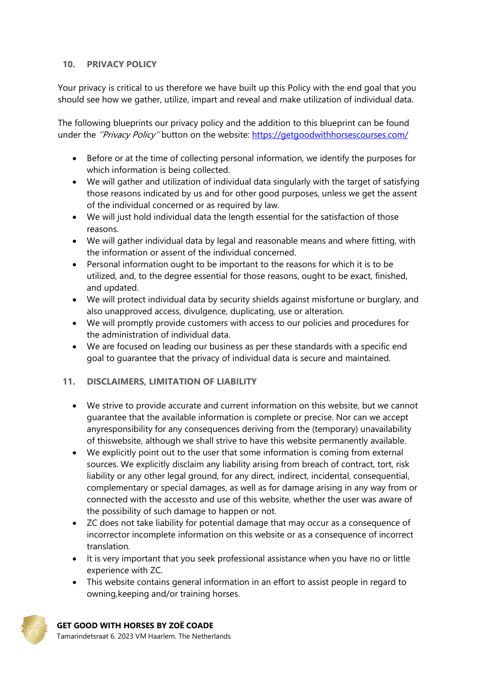#### **10. PRIVACY POLICY**

Your privacy is critical to us therefore we have built up this Policy with the end goal that you should see how we gather, utilize, impart and reveal and make utilization of individual data.

The following blueprints our privacy policy and the addition to this blueprint can be found under the "Privacy Policy" button on the website:<https://getgoodwithhorsescourses.com/>

- Before or at the time of collecting personal information, we identify the purposes for which information is being collected.
- We will gather and utilization of individual data singularly with the target of satisfying those reasons indicated by us and for other good purposes, unless we get the assent of the individual concerned or as required by law.
- We will just hold individual data the length essential for the satisfaction of those reasons.
- We will gather individual data by legal and reasonable means and where fitting, with the information or assent of the individual concerned.
- Personal information ought to be important to the reasons for which it is to be utilized, and, to the degree essential for those reasons, ought to be exact, finished, and updated.
- We will protect individual data by security shields against misfortune or burglary, and also unapproved access, divulgence, duplicating, use or alteration.
- We will promptly provide customers with access to our policies and procedures for the administration of individual data.
- We are focused on leading our business as per these standards with a specific end goal to guarantee that the privacy of individual data is secure and maintained.

#### **11. DISCLAIMERS, LIMITATION OF LIABILITY**

- We strive to provide accurate and current information on this website, but we cannot guarantee that the available information is complete or precise. Nor can we accept anyresponsibility for any consequences deriving from the (temporary) unavailability of thiswebsite, although we shall strive to have this website permanently available.
- We explicitly point out to the user that some information is coming from external sources. We explicitly disclaim any liability arising from breach of contract, tort, risk liability or any other legal ground, for any direct, indirect, incidental, consequential, complementary or special damages, as well as for damage arising in any way from or connected with the accessto and use of this website, whether the user was aware of the possibility of such damage to happen or not.
- ZC does not take liability for potential damage that may occur as a consequence of incorrector incomplete information on this website or as a consequence of incorrect translation.
- It is very important that you seek professional assistance when you have no or little experience with ZC.
- This website contains general information in an effort to assist people in regard to owning,keeping and/or training horses.

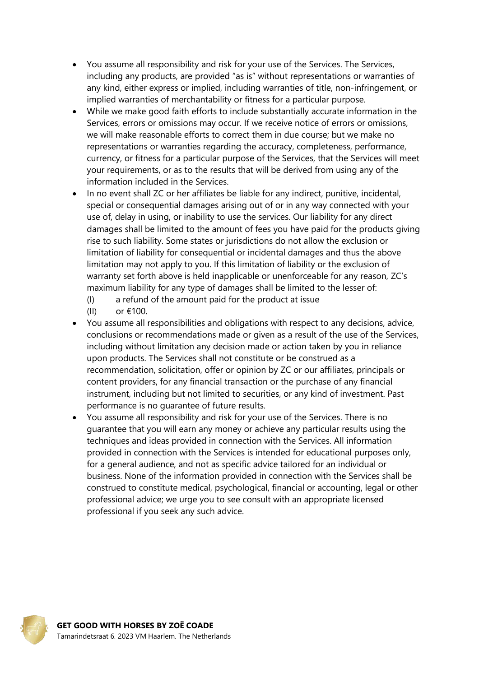- You assume all responsibility and risk for your use of the Services. The Services, including any products, are provided "as is" without representations or warranties of any kind, either express or implied, including warranties of title, non-infringement, or implied warranties of merchantability or fitness for a particular purpose.
- While we make good faith efforts to include substantially accurate information in the Services, errors or omissions may occur. If we receive notice of errors or omissions, we will make reasonable efforts to correct them in due course; but we make no representations or warranties regarding the accuracy, completeness, performance, currency, or fitness for a particular purpose of the Services, that the Services will meet your requirements, or as to the results that will be derived from using any of the information included in the Services.
- In no event shall ZC or her affiliates be liable for any indirect, punitive, incidental, special or consequential damages arising out of or in any way connected with your use of, delay in using, or inability to use the services. Our liability for any direct damages shall be limited to the amount of fees you have paid for the products giving rise to such liability. Some states or jurisdictions do not allow the exclusion or limitation of liability for consequential or incidental damages and thus the above limitation may not apply to you. If this limitation of liability or the exclusion of warranty set forth above is held inapplicable or unenforceable for any reason, ZC's maximum liability for any type of damages shall be limited to the lesser of:
	- (I) a refund of the amount paid for the product at issue
	- (II) or €100.
- You assume all responsibilities and obligations with respect to any decisions, advice, conclusions or recommendations made or given as a result of the use of the Services, including without limitation any decision made or action taken by you in reliance upon products. The Services shall not constitute or be construed as a recommendation, solicitation, offer or opinion by ZC or our affiliates, principals or content providers, for any financial transaction or the purchase of any financial instrument, including but not limited to securities, or any kind of investment. Past performance is no guarantee of future results.
- You assume all responsibility and risk for your use of the Services. There is no guarantee that you will earn any money or achieve any particular results using the techniques and ideas provided in connection with the Services. All information provided in connection with the Services is intended for educational purposes only, for a general audience, and not as specific advice tailored for an individual or business. None of the information provided in connection with the Services shall be construed to constitute medical, psychological, financial or accounting, legal or other professional advice; we urge you to see consult with an appropriate licensed professional if you seek any such advice.